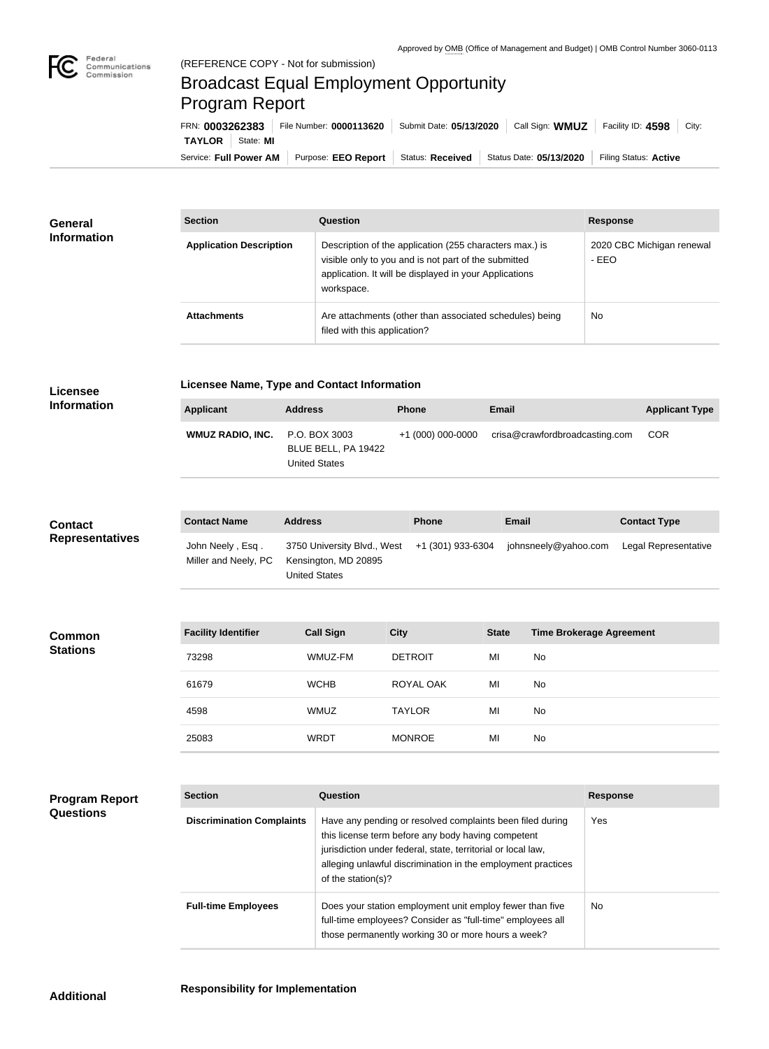

## Broadcast Equal Employment Opportunity Program Report

Service: Full Power AM | Purpose: EEO Report | Status: Received | Status Date: 05/13/2020 | Filing Status: Active **TAYLOR** State: **MI** FRN: **0003262383** File Number: **0000113620** Submit Date: **05/13/2020** Call Sign: **WMUZ** Facility ID: **4598** City:

| <b>General</b><br><b>Information</b> | <b>Section</b>                 | <b>Question</b>                                                                                                                                                                         | <b>Response</b>                    |  |
|--------------------------------------|--------------------------------|-----------------------------------------------------------------------------------------------------------------------------------------------------------------------------------------|------------------------------------|--|
|                                      | <b>Application Description</b> | Description of the application (255 characters max.) is<br>visible only to you and is not part of the submitted<br>application. It will be displayed in your Applications<br>workspace. | 2020 CBC Michigan renewal<br>- EEO |  |
|                                      | <b>Attachments</b>             | Are attachments (other than associated schedules) being<br>filed with this application?                                                                                                 | No                                 |  |

| <b>Licensee</b><br><b>Information</b>     | <b>Licensee Name, Type and Contact Information</b> |                      |                                                     |                                                                                                                                                                                                                                                 |              |                                 |                 |                       |
|-------------------------------------------|----------------------------------------------------|----------------------|-----------------------------------------------------|-------------------------------------------------------------------------------------------------------------------------------------------------------------------------------------------------------------------------------------------------|--------------|---------------------------------|-----------------|-----------------------|
|                                           | <b>Applicant</b>                                   | <b>Address</b>       |                                                     | <b>Phone</b>                                                                                                                                                                                                                                    | Email        |                                 |                 | <b>Applicant Type</b> |
|                                           | <b>WMUZ RADIO, INC.</b>                            | <b>United States</b> | P.O. BOX 3003<br>BLUE BELL, PA 19422                | +1 (000) 000-0000                                                                                                                                                                                                                               |              | crisa@crawfordbroadcasting.com  |                 | <b>COR</b>            |
|                                           | <b>Contact Name</b>                                | <b>Address</b>       |                                                     | Phone                                                                                                                                                                                                                                           | <b>Email</b> |                                 |                 | <b>Contact Type</b>   |
| <b>Contact</b><br><b>Representatives</b>  | John Neely, Esq.<br>Miller and Neely, PC           | <b>United States</b> | 3750 University Blvd., West<br>Kensington, MD 20895 | +1 (301) 933-6304                                                                                                                                                                                                                               |              | johnsneely@yahoo.com            |                 | Legal Representative  |
|                                           |                                                    |                      |                                                     |                                                                                                                                                                                                                                                 |              |                                 |                 |                       |
| <b>Common</b><br><b>Stations</b>          | <b>Facility Identifier</b>                         |                      | <b>Call Sign</b>                                    | <b>City</b>                                                                                                                                                                                                                                     | <b>State</b> | <b>Time Brokerage Agreement</b> |                 |                       |
|                                           | 73298                                              |                      | WMUZ-FM                                             | <b>DETROIT</b>                                                                                                                                                                                                                                  | MI           | No                              |                 |                       |
|                                           | 61679                                              |                      | <b>WCHB</b>                                         | ROYAL OAK                                                                                                                                                                                                                                       | MI           | No                              |                 |                       |
|                                           | 4598                                               |                      | <b>WMUZ</b>                                         | <b>TAYLOR</b>                                                                                                                                                                                                                                   | MI           | No                              |                 |                       |
|                                           | 25083                                              |                      | <b>WRDT</b>                                         | <b>MONROE</b>                                                                                                                                                                                                                                   | MI           | No                              |                 |                       |
|                                           |                                                    |                      |                                                     |                                                                                                                                                                                                                                                 |              |                                 |                 |                       |
| <b>Program Report</b><br><b>Questions</b> | <b>Section</b>                                     |                      | Question                                            |                                                                                                                                                                                                                                                 |              |                                 | <b>Response</b> |                       |
|                                           | <b>Discrimination Complaints</b>                   |                      | of the station(s)?                                  | Have any pending or resolved complaints been filed during<br>this license term before any body having competent<br>jurisdiction under federal, state, territorial or local law,<br>alleging unlawful discrimination in the employment practices |              |                                 | Yes             |                       |
|                                           | <b>Full-time Employees</b>                         |                      |                                                     | Does your station employment unit employ fewer than five<br>full-time employees? Consider as "full-time" employees all                                                                                                                          |              |                                 | No              |                       |

those permanently working 30 or more hours a week?